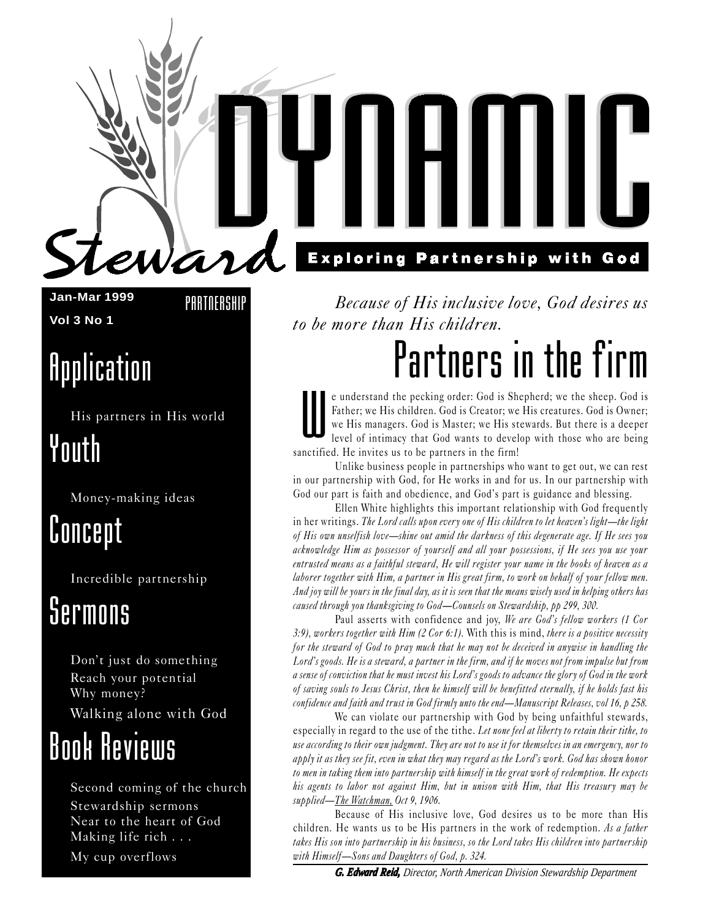**Jan-Mar 1999 Vol 3 No 1**

**PARTNERSHIP** 

Wa

## **Application**

His partners in His world Youth

Money-making ideas

### Concept

Incredible partnership

### Sermons

Don't just do something Reach your potential Why money? Walking alone with God

## Book Reviews

Second coming of the church Stewardship sermons Near to the heart of God Making life rich . . .

My cup overflows

### **Exploring Partnership with God**

Because of His inclusive love, God desires us to be more than His children.

## Partners in the firm

W e understand the pecking order: God is Shepherd; we the sheep. God is Father; we His children. God is Creator; we His creatures. God is Owner; we His managers. God is Master; we His stewards. But there is a deeper level of intimacy that God wants to develop with those who are being sanctified. He invites us to be partners in the firm!

Unlike business people in partnerships who want to get out, we can rest in our partnership with God, for He works in and for us. In our partnership with God our part is faith and obedience, and God's part is guidance and blessing.

Ellen White highlights this important relationship with God frequently in her writings. The Lord calls upon every one of His children to let heaven's light—the light of His own unselfish love—shine out amid the darkness of this degenerate age. If He sees you acknowledge Him as possessor of yourself and all your possessions, if He sees you use your entrusted means as a faithful steward, He will register your name in the books of heaven as a laborer together with Him, a partner in His great firm, to work on behalf of your fellow men. And joy will be yours in the final day, as it is seen that the means wisely used in helping others has caused through you thanksgiving to God-Counsels on Stewardship, pp 299, 300.

Paul asserts with confidence and joy, We are God's fellow workers (1 Cor 3:9), workers together with Him (2 Cor 6:1). With this is mind, there is a positive necessity for the steward of God to pray much that he may not be deceived in anywise in handling the Lord's goods. He is a steward, a partner in the firm, and if he moves not from impulse but from a sense of conviction that he must invest his Lord's goods to advance the glory of God in the work of saving souls to Jesus Christ, then he himself will be benefitted eternally, if he holds fast his confidence and faith and trust in God firmly unto the end—Manuscript Releases, vol 16,  $p$  258.

We can violate our partnership with God by being unfaithful stewards, especially in regard to the use of the tithe. Let none feel at liberty to retain their tithe, to use according to their own judgment. They are not to use it for themselves in an emergency, nor to apply it as they see fit, even in what they may regard as the Lord's work. God has shown honor to men in taking them into partnership with himself in the great work of redemption. He expects his agents to labor not against Him, but in unison with Him, that His treasury may be supplied—The Watchman, Oct 9, 1906.

Because of His inclusive love, God desires us to be more than His children. He wants us to be His partners in the work of redemption. As a father takes His son into partnership in his business, so the Lord takes His children into partnership with Himself-Sons and Daughters of God, p. 324.

*G. Edward Reid, Director, North American Division Stewardship Department*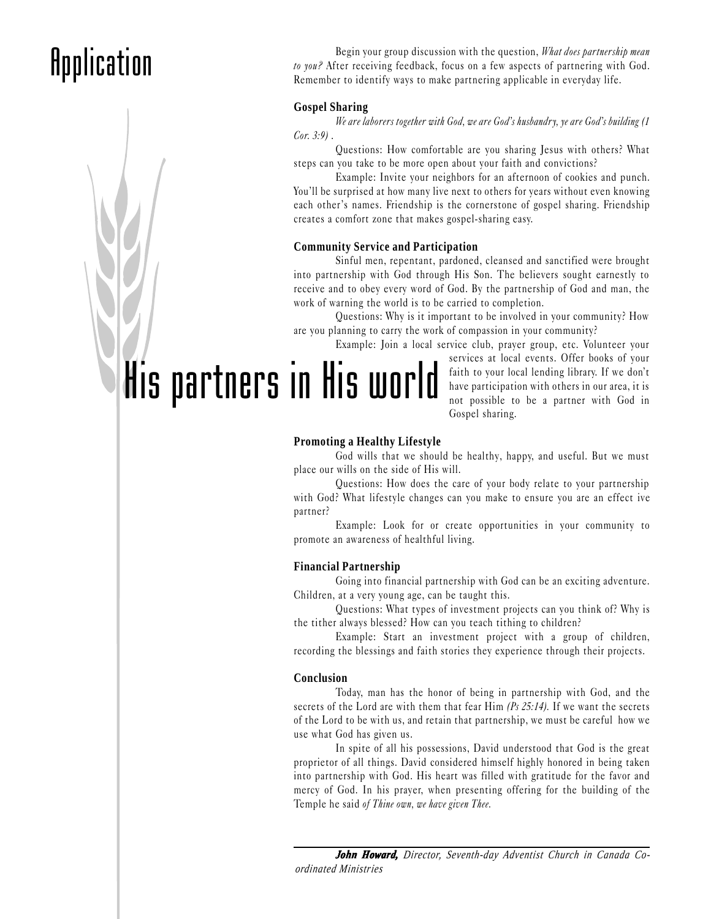## **Application**

Begin your group discussion with the question, What does partnership mean to you? After receiving feedback, focus on a few aspects of partnering with God. Remember to identify ways to make partnering applicable in everyday life.

#### **Gospel Sharing**

We are laborers together with God, we are God's husbandry, ye are God's building (1  $Cor. 3:9$ .

Questions: How comfortable are you sharing Jesus with others? What steps can you take to be more open about your faith and convictions?

Example: Invite your neighbors for an afternoon of cookies and punch. You'll be surprised at how many live next to others for years without even knowing each other's names. Friendship is the cornerstone of gospel sharing. Friendship creates a comfort zone that makes gospel-sharing easy.

#### **Community Service and Participation**

Sinful men, repentant, pardoned, cleansed and sanctified were brought into partnership with God through His Son. The believers sought earnestly to receive and to obey every word of God. By the partnership of God and man, the work of warning the world is to be carried to completion.

Questions: Why is it important to be involved in your community? How are you planning to carry the work of compassion in your community?

Example: Join a local service club, prayer group, etc. Volunteer your

His partners in His world

services at local events. Offer books of your faith to your local lending library. If we don't have participation with others in our area, it is not possible to be a partner with God in Gospel sharing.

#### **Promoting a Healthy Lifestyle**

God wills that we should be healthy, happy, and useful. But we must place our wills on the side of His will.

Questions: How does the care of your body relate to your partnership with God? What lifestyle changes can you make to ensure you are an effect ive partner?

Example: Look for or create opportunities in your community to promote an awareness of healthful living.

#### **Financial Partnership**

Going into financial partnership with God can be an exciting adventure. Children, at a very young age, can be taught this.

Questions: What types of investment projects can you think of? Why is the tither always blessed? How can you teach tithing to children?

Example: Start an investment project with a group of children, recording the blessings and faith stories they experience through their projects.

#### **Conclusion**

Today, man has the honor of being in partnership with God, and the secrets of the Lord are with them that fear Him  $(P<sub>s</sub> 25:14)$ . If we want the secrets of the Lord to be with us, and retain that partnership, we must be careful how we use what God has given us.

In spite of all his possessions, David understood that God is the great proprietor of all things. David considered himself highly honored in being taken into partnership with God. His heart was filled with gratitude for the favor and mercy of God. In his prayer, when presenting offering for the building of the Temple he said of Thine own, we have given Thee.

*John Howard, Director, Seventh-day Adventist Church in Canada Coordinated Ministries*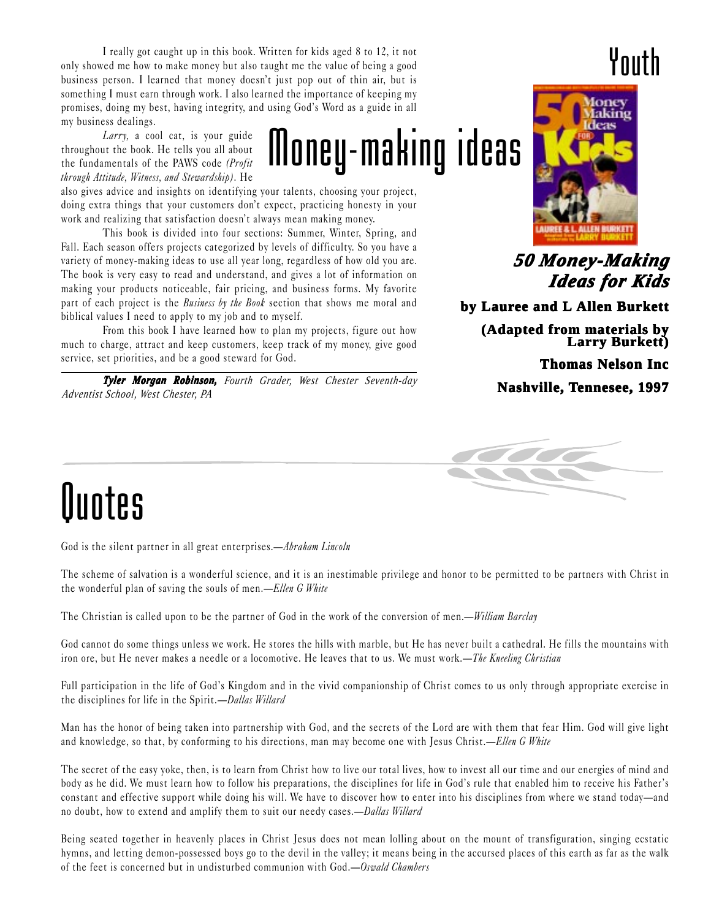I really got caught up in this book. Written for kids aged 8 to 12, it not only showed me how to make money but also taught me the value of being a good business person. I learned that money doesn't just pop out of thin air, but is something I must earn through work. I also learned the importance of keeping my promises, doing my best, having integrity, and using God's Word as a guide in all my business dealings.

Larry, a cool cat, is your guide throughout the book. He tells you all about the fundamentals of the PAWS code (Profit through Attitude, Witness, and Stewardship). He

also gives advice and insights on identifying your talents, choosing your project, doing extra things that your customers don't expect, practicing honesty in your work and realizing that satisfaction doesn't always mean making money.

This book is divided into four sections: Summer, Winter, Spring, and Fall. Each season offers projects categorized by levels of difficulty. So you have a variety of money-making ideas to use all year long, regardless of how old you are. The book is very easy to read and understand, and gives a lot of information on making your products noticeable, fair pricing, and business forms. My favorite part of each project is the *Business by the Book* section that shows me moral and biblical values I need to apply to my job and to myself.

From this book I have learned how to plan my projects, figure out how much to charge, attract and keep customers, keep track of my money, give good service, set priorities, and be a good steward for God.

*Tyler Morgan Robinson, Fourth Grader, West Chester Seventh-day Adventist School, West Chester, PA*

### Youth



*50 Money-Making Money-Making Ideas f Ideas for Kids or Kids*

by Lauree and L Allen Burkett

**(Adapted from materials by Larry Burkett)**

**Thomas Nelson Inc**

**Nashville, Tennesee, 1997**



# Quotes

God is the silent partner in all great enterprises.—Abraham Lincoln

The scheme of salvation is a wonderful science, and it is an inestimable privilege and honor to be permitted to be partners with Christ in the wonderful plan of saving the souls of men.—Ellen G White

Money-making ideas

The Christian is called upon to be the partner of God in the work of the conversion of men.—William Barclay

God cannot do some things unless we work. He stores the hills with marble, but He has never built a cathedral. He fills the mountains with iron ore, but He never makes a needle or a locomotive. He leaves that to us. We must work.—The Kneeling Christian

Full participation in the life of God's Kingdom and in the vivid companionship of Christ comes to us only through appropriate exercise in the disciplines for life in the Spirit.—Dallas Willard

Man has the honor of being taken into partnership with God, and the secrets of the Lord are with them that fear Him. God will give light and knowledge, so that, by conforming to his directions, man may become one with Jesus Christ.—Ellen G White

The secret of the easy yoke, then, is to learn from Christ how to live our total lives, how to invest all our time and our energies of mind and body as he did. We must learn how to follow his preparations, the disciplines for life in God's rule that enabled him to receive his Father's constant and effective support while doing his will. We have to discover how to enter into his disciplines from where we stand today—and no doubt, how to extend and amplify them to suit our needy cases.—Dallas Willard

Being seated together in heavenly places in Christ Jesus does not mean lolling about on the mount of transfiguration, singing ecstatic hymns, and letting demon-possessed boys go to the devil in the valley; it means being in the accursed places of this earth as far as the walk of the feet is concerned but in undisturbed communion with God.—Oswald Chambers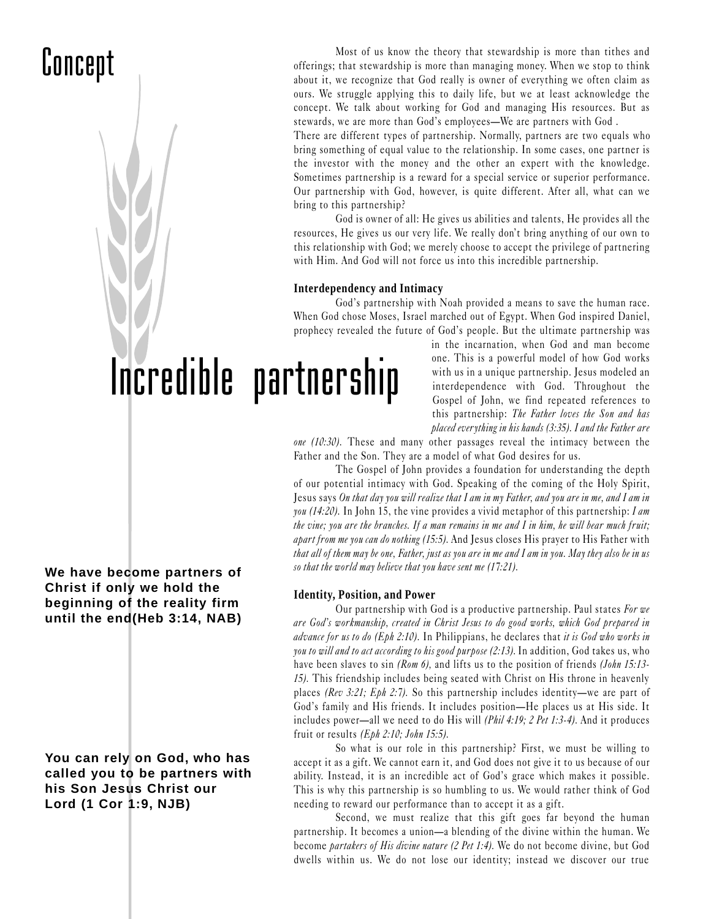### Concept

Most of us know the theory that stewardship is more than tithes and offerings; that stewardship is more than managing money. When we stop to think about it, we recognize that God really is owner of everything we often claim as ours. We struggle applying this to daily life, but we at least acknowledge the concept. We talk about working for God and managing His resources. But as stewards, we are more than God's employees—We are partners with God.

There are different types of partnership. Normally, partners are two equals who bring something of equal value to the relationship. In some cases, one partner is the investor with the money and the other an expert with the knowledge. Sometimes partnership is a reward for a special service or superior performance. Our partnership with God, however, is quite different. After all, what can we bring to this partnership?

God is owner of all: He gives us abilities and talents, He provides all the resources, He gives us our very life. We really don't bring anything of our own to this relationship with God; we merely choose to accept the privilege of partnering with Him. And God will not force us into this incredible partnership.

#### **Interdependency and Intimacy**

God's partnership with Noah provided a means to save the human race. When God chose Moses, Israel marched out of Egypt. When God inspired Daniel, prophecy revealed the future of God's people. But the ultimate partnership was

# Incredible partnership

in the incarnation, when God and man become one. This is a powerful model of how God works with us in a unique partnership. Jesus modeled an interdependence with God. Throughout the Gospel of John, we find repeated references to this partnership: The Father loves the Son and has placed everything in his hands (3:35). I and the Father are

one (10:30). These and many other passages reveal the intimacy between the Father and the Son. They are a model of what God desires for us.

The Gospel of John provides a foundation for understanding the depth of our potential intimacy with God. Speaking of the coming of the Holy Spirit, Jesus says On that day you will realize that I am in my Father, and you are in me, and I am in you (14:20). In John 15, the vine provides a vivid metaphor of this partnership: I am the vine; you are the branches. If a man remains in me and I in him, he will bear much fruit; apart from me you can do nothing (15:5). And Jesus closes His prayer to His Father with that all of them may be one, Father, just as you are in me and I am in you. May they also be in us so that the world may believe that you have sent me (17:21).

#### **Identity, Position, and Power**

Our partnership with God is a productive partnership. Paul states For we are God's workmanship, created in Christ Jesus to do good works, which God prepared in advance for us to do (Eph 2:10). In Philippians, he declares that it is God who works in you to will and to act according to his good purpose (2:13). In addition, God takes us, who have been slaves to sin (Rom 6), and lifts us to the position of friends (John 15:13-15). This friendship includes being seated with Christ on His throne in heavenly places (Rev 3:21; Eph 2:7). So this partnership includes identity—we are part of God's family and His friends. It includes position—He places us at His side. It includes power—all we need to do His will  $(Phi 1:19; 2 Pet 1:3-4)$ . And it produces fruit or results  $(Eph 2:10; John 15:5)$ .

So what is our role in this partnership? First, we must be willing to accept it as a gift. We cannot earn it, and God does not give it to us because of our ability. Instead, it is an incredible act of God's grace which makes it possible. This is why this partnership is so humbling to us. We would rather think of God needing to reward our performance than to accept it as a gift.

Second, we must realize that this gift goes far beyond the human partnership. It becomes a union—a blending of the divine within the human. We become partakers of His divine nature (2 Pet 1:4). We do not become divine, but God dwells within us. We do not lose our identity; instead we discover our true

**We have become partners of Christ if only we hold the beginning of the reality firm until the end(Heb 3:14, NAB)**

**You can rely on God, who has called you to be partners with his Son Jesus Christ our Lord (1 Cor 1:9, NJB)**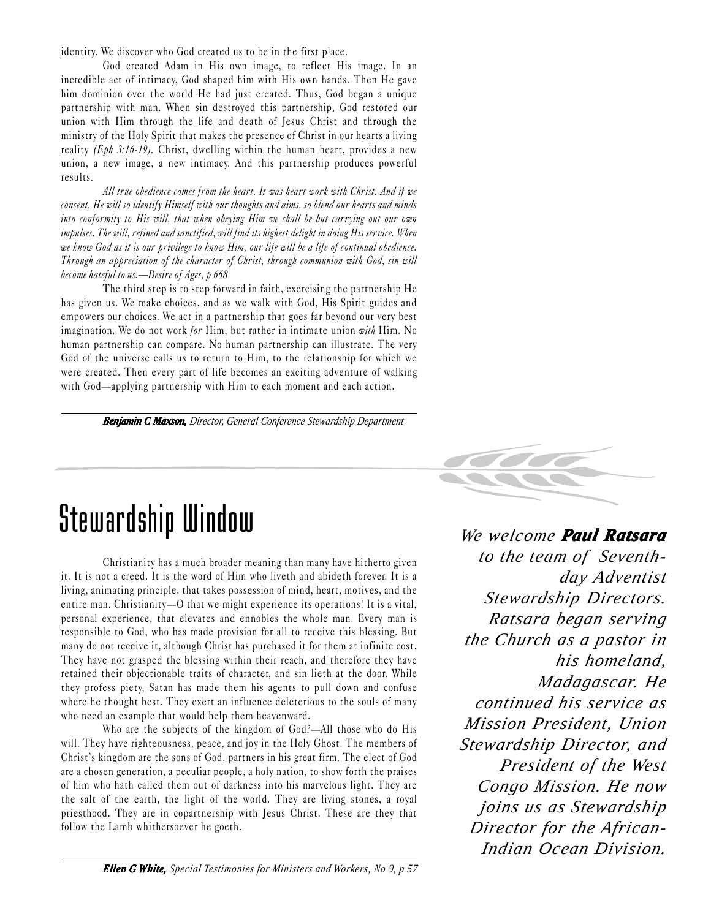identity. We discover who God created us to be in the first place.

God created Adam in His own image, to reflect His image. In an incredible act of intimacy, God shaped him with His own hands. Then He gave him dominion over the world He had just created. Thus, God began a unique partnership with man. When sin destroyed this partnership, God restored our union with Him through the life and death of Jesus Christ and through the ministry of the Holy Spirit that makes the presence of Christ in our hearts a living reality (Eph 3:16-19). Christ, dwelling within the human heart, provides a new union, a new image, a new intimacy. And this partnership produces powerful results.

All true obedience comes from the heart. It was heart work with Christ. And if we consent, He will so identify Himself with our thoughts and aims, so blend our hearts and minds into conformity to His will, that when obeying Him we shall be but carrying out our own impulses. The will, refined and sanctified, will find its highest delight in doing His service. When we know God as it is our privilege to know Him, our life will be a life of continual obedience. Through an appreciation of the character of Christ, through communion with God, sin will become hateful to us.  $-D$ esire of Ages, p 668

The third step is to step forward in faith, exercising the partnership He has given us. We make choices, and as we walk with God, His Spirit guides and empowers our choices. We act in a partnership that goes far beyond our very best imagination. We do not work for Him, but rather in intimate union with Him. No human partnership can compare. No human partnership can illustrate. The very God of the universe calls us to return to Him, to the relationship for which we were created. Then every part of life becomes an exciting adventure of walking with God—applying partnership with Him to each moment and each action.

*Benjamin C Maxson, C Maxson, Director, General Conference Stewardship Department*

### Stewardship Window

Christianity has a much broader meaning than many have hitherto given it. It is not a creed. It is the word of Him who liveth and abideth forever. It is a living, animating principle, that takes possession of mind, heart, motives, and the entire man. Christianity— $0$  that we might experience its operations! It is a vital, personal experience, that elevates and ennobles the whole man. Every man is responsible to God, who has made provision for all to receive this blessing. But many do not receive it, although Christ has purchased it for them at infinite cost. They have not grasped the blessing within their reach, and therefore they have retained their objectionable traits of character, and sin lieth at the door. While they profess piety, Satan has made them his agents to pull down and confuse where he thought best. They exert an influence deleterious to the souls of many who need an example that would help them heavenward.

Who are the subjects of the kingdom of God?—All those who do His will. They have righteousness, peace, and joy in the Holy Ghost. The members of Christ's kingdom are the sons of God, partners in his great firm. The elect of God are a chosen generation, a peculiar people, a holy nation, to show forth the praises of him who hath called them out of darkness into his marvelous light. They are the salt of the earth, the light of the world. They are living stones, a royal priesthood. They are in copartnership with Jesus Christ. These are they that follow the Lamb whithersoever he goeth.



*We welcome Paul Ratsara to the team of Seventhday Adventist Stewardship Directors. Ratsara began serving the Church as a pastor in his homeland, Madagascar. He continued his service as Mission President, Union Stewardship Director, and President of the West Congo Mission. He now joins us as Stewardship Director for the African-Indian Ocean Division.*

*Ellen G G White, Special Testimonies for Ministers and Workers, No 9, p 57*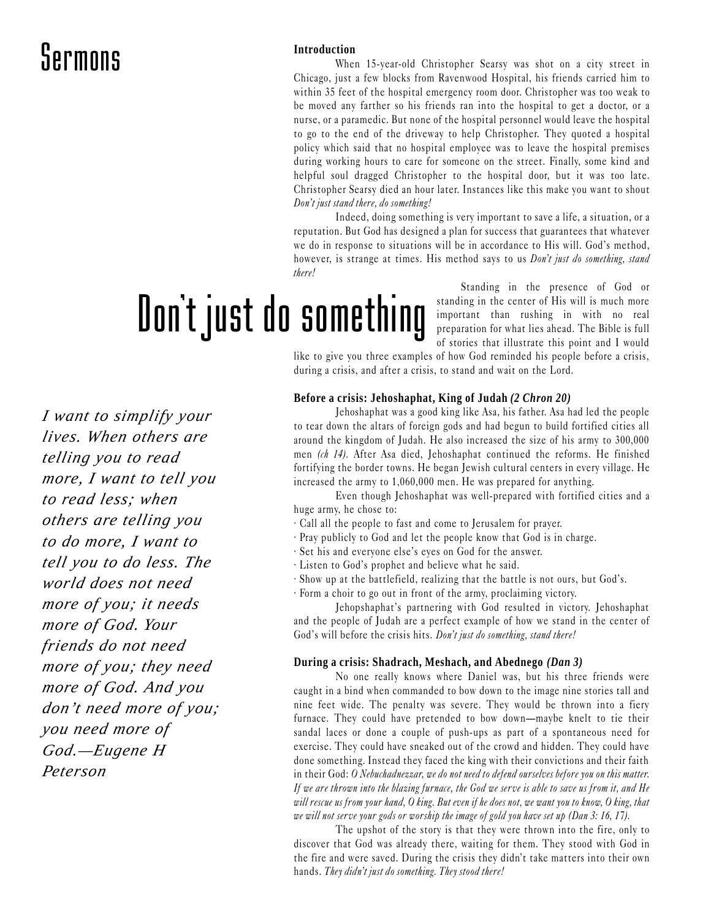#### **Introduction**

When 15-year-old Christopher Searsy was shot on a city street in Chicago, just a few blocks from Ravenwood Hospital, his friends carried him to within 35 feet of the hospital emergency room door. Christopher was too weak to be moved any farther so his friends ran into the hospital to get a doctor, or a nurse, or a paramedic. But none of the hospital personnel would leave the hospital to go to the end of the driveway to help Christopher. They quoted a hospital policy which said that no hospital employee was to leave the hospital premises during working hours to care for someone on the street. Finally, some kind and helpful soul dragged Christopher to the hospital door, but it was too late. Christopher Searsy died an hour later. Instances like this make you want to shout Don't just stand there, do something!

Indeed, doing something is very important to save a life, a situation, or a reputation. But God has designed a plan for success that guarantees that whatever we do in response to situations will be in accordance to His will. God's method, however, is strange at times. His method says to us *Don't just do something, stand* there!

Dont just do something

Standing in the presence of God or standing in the center of His will is much more important than rushing in with no real preparation for what lies ahead. The Bible is full of stories that illustrate this point and I would

like to give you three examples of how God reminded his people before a crisis, during a crisis, and after a crisis, to stand and wait on the Lord.

#### **Before a crisis: Jehoshaphat, King of Judah** *(2 Chron 20)*

Jehoshaphat was a good king like Asa, his father. Asa had led the people to tear down the altars of foreign gods and had begun to build fortified cities all around the kingdom of Judah. He also increased the size of his army to 300,000 men (ch 14). After Asa died, Jehoshaphat continued the reforms. He finished fortifying the border towns. He began Jewish cultural centers in every village. He increased the army to 1,060,000 men. He was prepared for anything.

Even though Jehoshaphat was well-prepared with fortified cities and a huge army, he chose to:

- · Call all the people to fast and come to Jerusalem for prayer.
- · Pray publicly to God and let the people know that God is in charge.
- · Set his and everyone else's eyes on God for the answer.
- · Listen to God's prophet and believe what he said.
- · Show up at the battlefield, realizing that the battle is not ours, but God's.
- · Form a choir to go out in front of the army, proclaiming victory.

Jehopshaphat's partnering with God resulted in victory. Jehoshaphat and the people of Judah are a perfect example of how we stand in the center of God's will before the crisis hits. Don't just do something, stand there!

#### **During a crisis: Shadrach, Meshach, and Abednego** *(Dan 3)*

No one really knows where Daniel was, but his three friends were caught in a bind when commanded to bow down to the image nine stories tall and nine feet wide. The penalty was severe. They would be thrown into a fiery furnace. They could have pretended to bow down-maybe knelt to tie their sandal laces or done a couple of push-ups as part of a spontaneous need for exercise. They could have sneaked out of the crowd and hidden. They could have done something. Instead they faced the king with their convictions and their faith in their God: O Nebuchadnezzar, we do not need to defend ourselves before you on this matter. If we are thrown into the blazing furnace, the God we serve is able to save us from it, and He will rescue us from your hand, O king. But even if he does not, we want you to know, O king, that we will not serve your gods or worship the image of gold you have set up (Dan 3: 16, 17).

The upshot of the story is that they were thrown into the fire, only to discover that God was already there, waiting for them. They stood with God in the fire and were saved. During the crisis they didn't take matters into their own hands. They didn't just do something. They stood there!

*I want to simplify your lives. When others are telling you to read more, I want to tell you to read less; when others are telling you to do more, I want to tell you to do less. The world does not need more of you; it needs more of God. Your friends do not need more of you; they need more of God. And you don't need more of you; you need more of God.—Eugene H Peterson*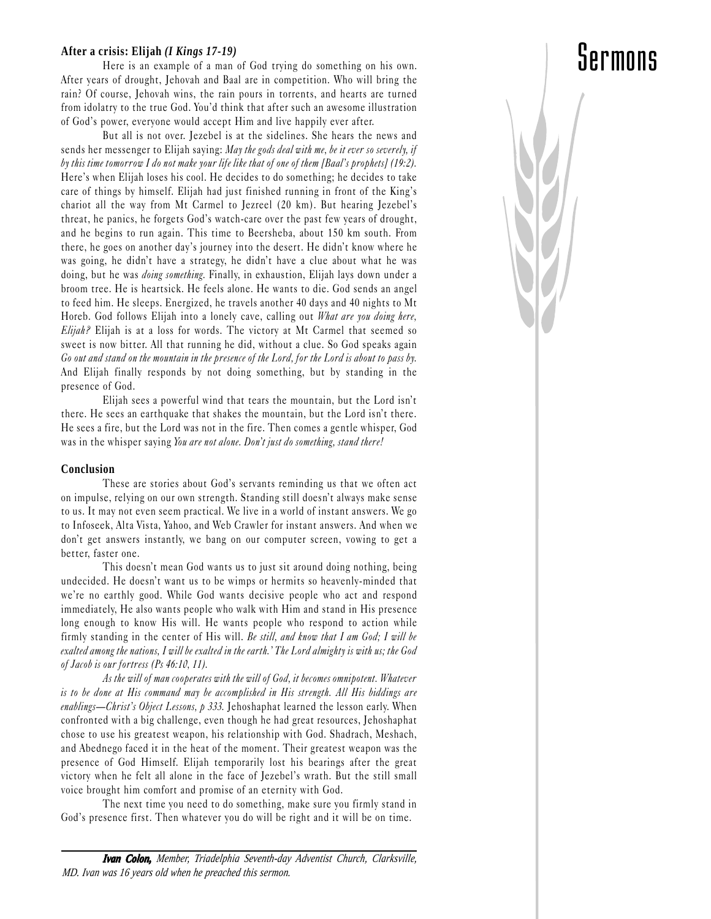#### **After a crisis: Elijah** *(I Kings 17-19)*

Here is an example of a man of God trying do something on his own. After years of drought, Jehovah and Baal are in competition. Who will bring the rain? Of course, Jehovah wins, the rain pours in torrents, and hearts are turned from idolatry to the true God. You'd think that after such an awesome illustration of God's power, everyone would accept Him and live happily ever after.

Sermons

But all is not over. Jezebel is at the sidelines. She hears the news and sends her messenger to Elijah saying: May the gods deal with me, be it ever so severely, if by this time tomorrow I do not make your life like that of one of them [Baal's prophets] (19:2). Here's when Elijah loses his cool. He decides to do something; he decides to take care of things by himself. Elijah had just finished running in front of the King's chariot all the way from Mt Carmel to Jezreel (20 km). But hearing Jezebel's threat, he panics, he forgets God's watch-care over the past few years of drought, and he begins to run again. This time to Beersheba, about 150 km south. From there, he goes on another day's journey into the desert. He didn't know where he was going, he didn't have a strategy, he didn't have a clue about what he was doing, but he was doing something. Finally, in exhaustion, Elijah lays down under a broom tree. He is heartsick. He feels alone. He wants to die. God sends an angel to feed him. He sleeps. Energized, he travels another 40 days and 40 nights to Mt Horeb. God follows Elijah into a lonely cave, calling out What are you doing here, Elijah? Elijah is at a loss for words. The victory at Mt Carmel that seemed so sweet is now bitter. All that running he did, without a clue. So God speaks again Go out and stand on the mountain in the presence of the Lord, for the Lord is about to pass by. And Elijah finally responds by not doing something, but by standing in the presence of God.

Elijah sees a powerful wind that tears the mountain, but the Lord isn't there. He sees an earthquake that shakes the mountain, but the Lord isn't there. He sees a fire, but the Lord was not in the fire. Then comes a gentle whisper, God was in the whisper saying You are not alone. Don't just do something, stand there!

#### **Conclusion**

These are stories about God's servants reminding us that we often act on impulse, relying on our own strength. Standing still doesn't always make sense to us. It may not even seem practical. We live in a world of instant answers. We go to Infoseek, Alta Vista, Yahoo, and Web Crawler for instant answers. And when we don't get answers instantly, we bang on our computer screen, vowing to get a better, faster one.

This doesn't mean God wants us to just sit around doing nothing, being undecided. He doesn't want us to be wimps or hermits so heavenly-minded that we're no earthly good. While God wants decisive people who act and respond immediately, He also wants people who walk with Him and stand in His presence long enough to know His will. He wants people who respond to action while firmly standing in the center of His will. Be still, and know that I am God; I will be exalted among the nations, I will be exalted in the earth. The Lord almighty is with us; the God of Jacob is our fortress (Ps 46:10, 11).

As the will of man cooperates with the will of God, it becomes omnipotent. Whatever is to be done at His command may be accomplished in His strength. All His biddings are enablings-Christ's Object Lessons,  $p$  333. Jehoshaphat learned the lesson early. When confronted with a big challenge, even though he had great resources, Jehoshaphat chose to use his greatest weapon, his relationship with God. Shadrach, Meshach, and Abednego faced it in the heat of the moment. Their greatest weapon was the presence of God Himself. Elijah temporarily lost his bearings after the great victory when he felt all alone in the face of Jezebel's wrath. But the still small voice brought him comfort and promise of an eternity with God.

The next time you need to do something, make sure you firmly stand in God's presence first. Then whatever you do will be right and it will be on time.

*Ivan Colon, Member, Triadelphia Seventh-day Adventist Church, Clarksville, MD. Ivan was 16 years old when he preached this sermon.*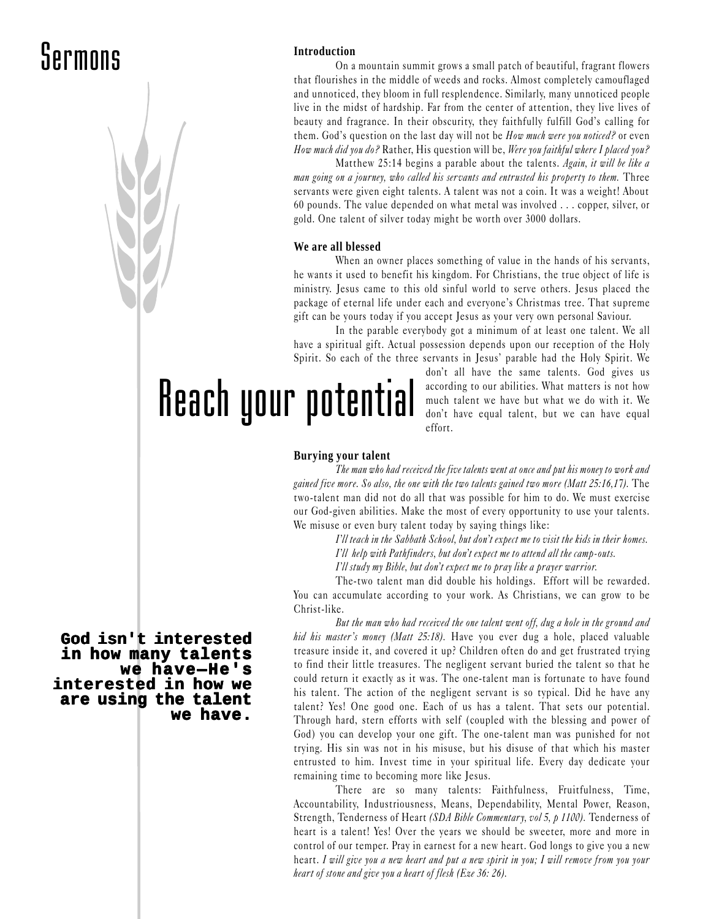#### **Introduction**

On a mountain summit grows a small patch of beautiful, fragrant flowers that flourishes in the middle of weeds and rocks. Almost completely camouflaged and unnoticed, they bloom in full resplendence. Similarly, many unnoticed people live in the midst of hardship. Far from the center of attention, they live lives of beauty and fragrance. In their obscurity, they faithfully fulfill God's calling for them. God's question on the last day will not be *How much were you noticed?* or even How much did you do? Rather, His question will be, Were you faithful where I placed you?

Matthew 25:14 begins a parable about the talents. Again, it will be like a man going on a journey, who called his servants and entrusted his property to them. Three servants were given eight talents. A talent was not a coin. It was a weight! About 60 pounds. The value depended on what metal was involved . . . copper, silver, or gold. One talent of silver today might be worth over 3000 dollars.

#### **We are all blessed**

When an owner places something of value in the hands of his servants, he wants it used to benefit his kingdom. For Christians, the true object of life is ministry. Jesus came to this old sinful world to serve others. Jesus placed the package of eternal life under each and everyone's Christmas tree. That supreme gift can be yours today if you accept Jesus as your very own personal Saviour.

In the parable everybody got a minimum of at least one talent. We all have a spiritual gift. Actual possession depends upon our reception of the Holy Spirit. So each of the three servants in Jesus' parable had the Holy Spirit. We

Reach your potential

don't all have the same talents. God gives us according to our abilities. What matters is not how much talent we have but what we do with it. We don't have equal talent, but we can have equal effort.

#### **Burying your talent**

The man who had received the five talents went at once and put his money to work and gained five more. So also, the one with the two talents gained two more (Matt 25:16,17). The two-talent man did not do all that was possible for him to do. We must exercise our God-given abilities. Make the most of every opportunity to use your talents. We misuse or even bury talent today by saying things like:

> I'll teach in the Sabbath School, but don't expect me to visit the kids in their homes. I'll help with Pathfinders, but don't expect me to attend all the camp-outs.

I'll study my Bible, but don't expect me to pray like a prayer warrior.

The-two talent man did double his holdings. Effort will be rewarded. You can accumulate according to your work. As Christians, we can grow to be Christ-like.

But the man who had received the one talent went off, dug a hole in the ground and hid his master's money (Matt  $25:18$ ). Have you ever dug a hole, placed valuable treasure inside it, and covered it up? Children often do and get frustrated trying to find their little treasures. The negligent servant buried the talent so that he could return it exactly as it was. The one-talent man is fortunate to have found his talent. The action of the negligent servant is so typical. Did he have any talent? Yes! One good one. Each of us has a talent. That sets our potential. Through hard, stern efforts with self (coupled with the blessing and power of God) you can develop your one gift. The one-talent man was punished for not trying. His sin was not in his misuse, but his disuse of that which his master entrusted to him. Invest time in your spiritual life. Every day dedicate your remaining time to becoming more like Jesus.

There are so many talents: Faithfulness, Fruitfulness, Time, Accountability, Industriousness, Means, Dependability, Mental Power, Reason, Strength, Tenderness of Heart *(SDA Bible Commentary, vol 5, p 1100)*. Tenderness of heart is a talent! Yes! Over the years we should be sweeter, more and more in control of our temper. Pray in earnest for a new heart. God longs to give you a new heart. I will give you a new heart and put a new spirit in you; I will remove from you your heart of stone and give you a heart of flesh (Eze 36: 26).

**God isn't interested in how many talents we have—He's interested in how we are using the talent we have.**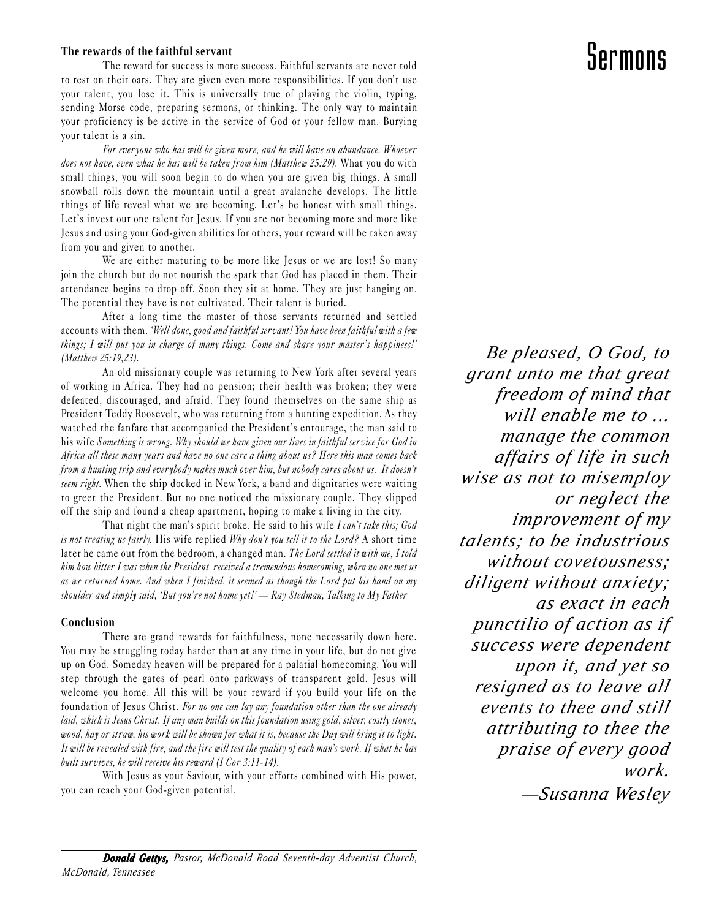#### **The rewards of the faithful servant**

The reward for success is more success. Faithful servants are never told to rest on their oars. They are given even more responsibilities. If you don't use your talent, you lose it. This is universally true of playing the violin, typing, sending Morse code, preparing sermons, or thinking. The only way to maintain your proficiency is be active in the service of God or your fellow man. Burying your talent is a sin.

For ever yone who has will be given more, and he will have an abundance. Whoever does not have, even what he has will be taken from him (Matthew 25:29). What you do with small things, you will soon begin to do when you are given big things. A small snowball rolls down the mountain until a great avalanche develops. The little things of life reveal what we are becoming. Let's be honest with small things. Let's invest our one talent for Jesus. If you are not becoming more and more like Jesus and using your God-given abilities for others, your reward will be taken away from you and given to another.

We are either maturing to be more like Jesus or we are lost! So many join the church but do not nourish the spark that God has placed in them. Their attendance begins to drop off. Soon they sit at home. They are just hanging on. The potential they have is not cultivated. Their talent is buried.

After a long time the master of those servants returned and settled accounts with them. 'Well done, good and faithful servant! You have been faithful with a few things; I will put you in charge of many things. Come and share your master's happiness!' (Matthew 25:19,23).

An old missionary couple was returning to New York after several years of working in Africa. They had no pension; their health was broken; they were defeated, discouraged, and afraid. They found themselves on the same ship as President Teddy Roosevelt, who was returning from a hunting expedition. As they watched the fanfare that accompanied the President's entourage, the man said to his wife Something is wrong. Why should we have given our lives in faithful service for God in Africa all these many years and have no one care a thing about us? Here this man comes back from a hunting trip and everybody makes much over him, but nobody cares about us. It doesn't seem right. When the ship docked in New York, a band and dignitaries were waiting to greet the President. But no one noticed the missionary couple. They slipped off the ship and found a cheap apartment, hoping to make a living in the city.

That night the man's spirit broke. He said to his wife I can't take this; God is not treating us fairly. His wife replied  $Why$  don't you tell it to the Lord? A short time later he came out from the bedroom, a changed man. The Lord settled it with me, I told him how bitter I was when the President received a tremendous homecoming, when no one met us as we returned home. And when I finished, it seemed as though the Lord put his hand on my shoulder and simply said, 'But you're not home yet!' — Ray Stedman, Talking to My Father

#### **Conclusion**

There are grand rewards for faithfulness, none necessarily down here. You may be struggling today harder than at any time in your life, but do not give up on God. Someday heaven will be prepared for a palatial homecoming. You will step through the gates of pearl onto parkways of transparent gold. Jesus will welcome you home. All this will be your reward if you build your life on the foundation of Jesus Christ. For no one can lay any foundation other than the one already laid, which is Jesus Christ. If any man builds on this foundation using gold, silver, costly stones, wood, hay or straw, his work will be shown for what it is, because the Day will bring it to light. It will be revealed with fire, and the fire will test the quality of each man's work. If what he has built survives, he will receive his reward (I Cor 3:11-14).

With Jesus as your Saviour, with your efforts combined with His power, you can reach your God-given potential.

#### *Be pleased, O God, to grant unto me that great freedom of mind that will enable me to ... manage the common affairs of life in such wise as not to misemploy or neglect the improvement of my talents; to be industrious without covetousness; diligent without anxiety; as exact in each punctilio of action as if success were dependent upon it, and yet so resigned as to leave all events to thee and still attributing to thee the praise of every good work. —Susanna Wesley*

#### *Donald Gettys, Gettys, Pastor, McDonald Road Seventh-day Adventist Church, McDonald, Tennessee*

Sermons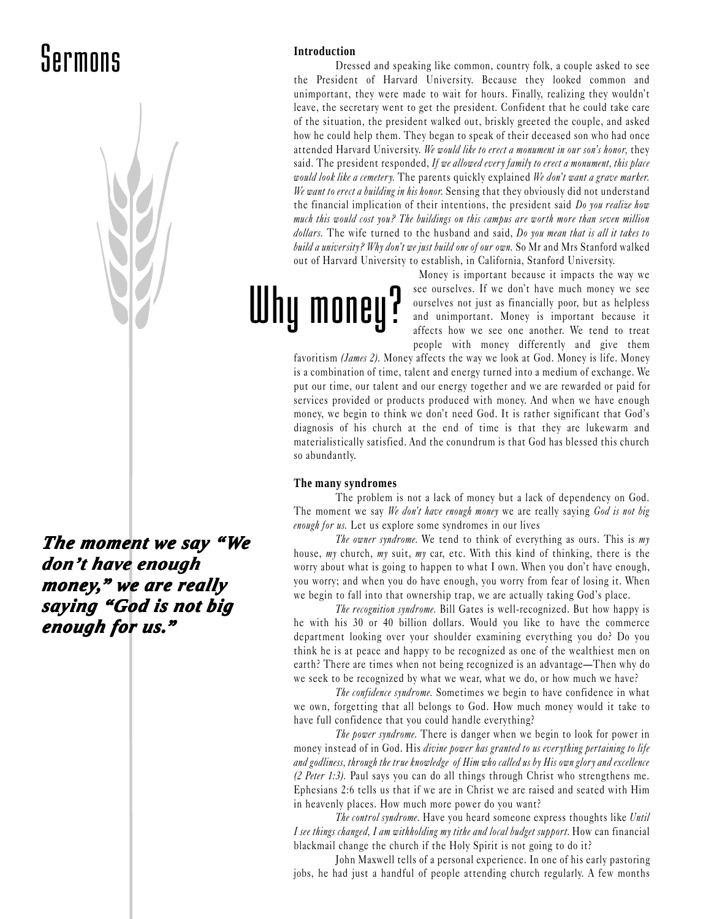

*The moment we say "We don't have enough money, " we are really saying "God is not big saying "God is not big enough for us.*"

#### **Introduction**

Dressed and speaking like common, country folk, a couple asked to see the President of Harvard University. Because they looked common and unimportant, they were made to wait for hours. Finally, realizing they wouldn't leave, the secretary went to get the president. Confident that he could take care of the situation, the president walked out, briskly greeted the couple, and asked how he could help them. They began to speak of their deceased son who had once attended Harvard University. We would like to erect a monument in our son's honor, they said. The president responded, If we allowed every family to erect a monument, this place would look like a cemetery. The parents quickly explained We don't want a grave marker. We want to erect a building in his honor. Sensing that they obviously did not understand the financial implication of their intentions, the president said Do you realize how much this would cost you? The buildings on this campus are worth more than seven million dollars. The wife turned to the husband and said, Do you mean that is all it takes to build a university? Why don't we just build one of our own. So Mr and Mrs Stanford walked out of Harvard University to establish, in California, Stanford University.

# Why money?

Money is important because it impacts the way we see ourselves. If we don't have much money we see ourselves not just as financially poor, but as helpless and unimportant. Money is important because it affects how we see one another. We tend to treat people with money differently and give them

favoritism *(James 2)*. Money affects the way we look at God. Money is life. Money is a combination of time, talent and energy turned into a medium of exchange. We put our time, our talent and our energy together and we are rewarded or paid for services provided or products produced with money. And when we have enough money, we begin to think we don't need God. It is rather significant that God's diagnosis of his church at the end of time is that they are lukewarm and materialistically satisfied. And the conundrum is that God has blessed this church so abundantly.

#### **The many syndromes**

The problem is not a lack of money but a lack of dependency on God. The moment we say We don't have enough money we are really saying God is not big enough for us. Let us explore some syndromes in our lives

The owner syndrome. We tend to think of everything as ours. This is my house, my church, my suit, my car, etc. With this kind of thinking, there is the worry about what is going to happen to what I own. When you don't have enough, you worry; and when you do have enough, you worry from fear of losing it. When we begin to fall into that ownership trap, we are actually taking God's place.

The recognition syndrome. Bill Gates is well-recognized. But how happy is he with his 30 or 40 billion dollars. Would you like to have the commerce department looking over your shoulder examining everything you do? Do you think he is at peace and happy to be recognized as one of the wealthiest men on earth? There are times when not being recognized is an advantage—Then why do we seek to be recognized by what we wear, what we do, or how much we have?

The confidence syndrome. Sometimes we begin to have confidence in what we own, forgetting that all belongs to God. How much money would it take to have full confidence that you could handle everything?

The power syndrome. There is danger when we begin to look for power in money instead of in God. His *divine power has granted to us everything pertaining to life* and godliness, through the true knowledge of Him who called us by His own glory and excellence (2 Peter 1:3). Paul says you can do all things through Christ who strengthens me. Ephesians 2:6 tells us that if we are in Christ we are raised and seated with Him in heavenly places. How much more power do you want?

The control syndrome. Have you heard someone express thoughts like Until I see things changed, I am withholding my tithe and local budget support. How can financial blackmail change the church if the Holy Spirit is not going to do it?

John Maxwell tells of a personal experience. In one of his early pastoring jobs, he had just a handful of people attending church regularly. A few months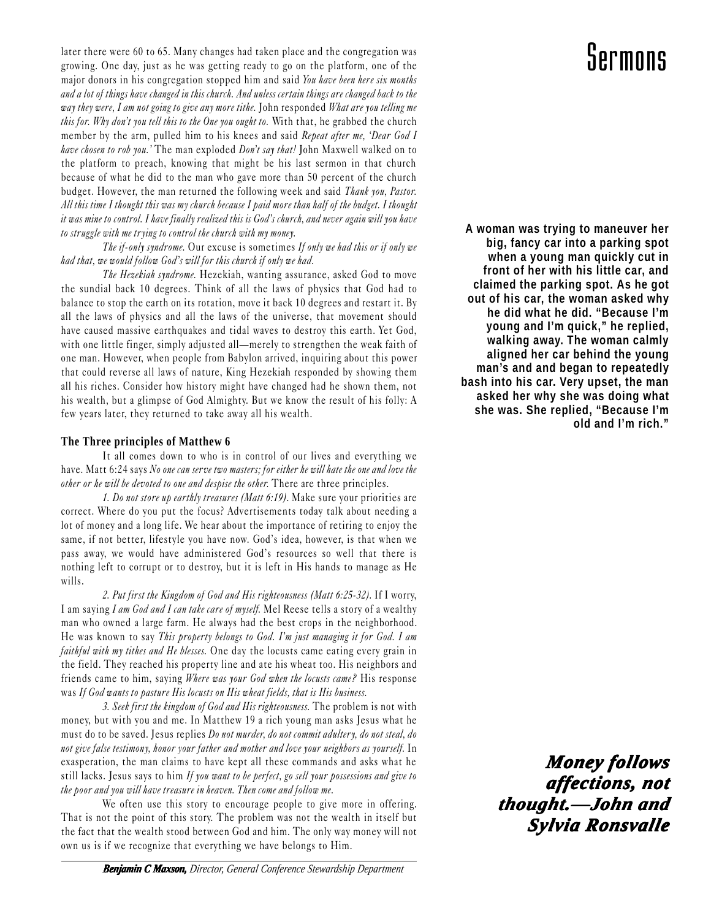later there were 60 to 65. Many changes had taken place and the congregation was growing. One day, just as he was getting ready to go on the platform, one of the major donors in his congregation stopped him and said You have been here six months and a lot of things have changed in this church. And unless certain things are changed back to the way they were, I am not going to give any more tithe. John responded What are you telling me this for. Why don't you tell this to the One you ought to. With that, he grabbed the church member by the arm, pulled him to his knees and said Repeat after me, 'Dear God I have chosen to rob you.' The man exploded Don't say that! John Maxwell walked on to the platform to preach, knowing that might be his last sermon in that church because of what he did to the man who gave more than 50 percent of the church budget. However, the man returned the following week and said Thank you, Pastor. All this time I thought this was my church because I paid more than half of the budget. I thought it was mine to control. I have finally realized this is God's church, and never again will you have to struggle with me trying to control the church with my money.

The if-only syndrome. Our excuse is sometimes If only we had this or if only we had that, we would follow God's will for this church if only we had.

The Hezekiah syndrome. Hezekiah, wanting assurance, asked God to move the sundial back 10 degrees. Think of all the laws of physics that God had to balance to stop the earth on its rotation, move it back 10 degrees and restart it. By all the laws of physics and all the laws of the universe, that movement should have caused massive earthquakes and tidal waves to destroy this earth. Yet God, with one little finger, simply adjusted all—merely to strengthen the weak faith of one man. However, when people from Babylon arrived, inquiring about this power that could reverse all laws of nature, King Hezekiah responded by showing them all his riches. Consider how history might have changed had he shown them, not his wealth, but a glimpse of God Almighty. But we know the result of his folly: A few years later, they returned to take away all his wealth.

#### **The Three principles of Matthew 6**

It all comes down to who is in control of our lives and everything we have. Matt 6:24 says No one can serve two masters; for either he will hate the one and love the other or he will be devoted to one and despise the other. There are three principles.

1. Do not store up earthly treasures (Matt 6:19). Make sure your priorities are correct. Where do you put the focus? Advertisements today talk about needing a lot of money and a long life. We hear about the importance of retiring to enjoy the same, if not better, lifestyle you have now. God's idea, however, is that when we pass away, we would have administered God's resources so well that there is nothing left to corrupt or to destroy, but it is left in His hands to manage as He wills.

2. Put first the Kingdom of God and His righteousness (Matt 6:25-32). If I worry, I am saying I am God and I can take care of myself. Mel Reese tells a story of a wealthy man who owned a large farm. He always had the best crops in the neighborhood. He was known to say This property belongs to God. Im just managing it for God. I am faithful with my tithes and He blesses. One day the locusts came eating every grain in the field. They reached his property line and ate his wheat too. His neighbors and friends came to him, saying Where was your God when the locusts came? His response was If God wants to pasture His locusts on His wheat fields, that is His business.

3. Seek first the kingdom of God and His righteousness. The problem is not with money, but with you and me. In Matthew 19 a rich young man asks Jesus what he must do to be saved. Jesus replies Do not murder, do not commit adultery, do not steal, do not give false testimony, honor your father and mother and love your neighbors as yourself. In exasperation, the man claims to have kept all these commands and asks what he still lacks. Jesus says to him If you want to be perfect, go sell your possessions and give to the poor and you will have treasure in heaven. Then come and follow me.

We often use this story to encourage people to give more in offering. That is not the point of this story. The problem was not the wealth in itself but the fact that the wealth stood between God and him. The only way money will not own us is if we recognize that everything we have belongs to Him.

### Sermons

**A woman was trying to maneuver her big, fancy car into a parking spot when a young man quickly cut in front of her with his little car, and claimed the parking spot. As he got out of his car, the woman asked why he did what he did. "Because I'm young and I'm quick," he replied, walking away. The woman calmly aligned her car behind the young man's and and began to repeatedly bash into his car. Very upset, the man asked her why she was doing what she was. She replied, "Because I'm old and I'm rich."**

> *Money follows affections, ections, ections, not thought.—J thought.—John and ohn and Sylvia Ronsvalle Sylvia Ronsvalle*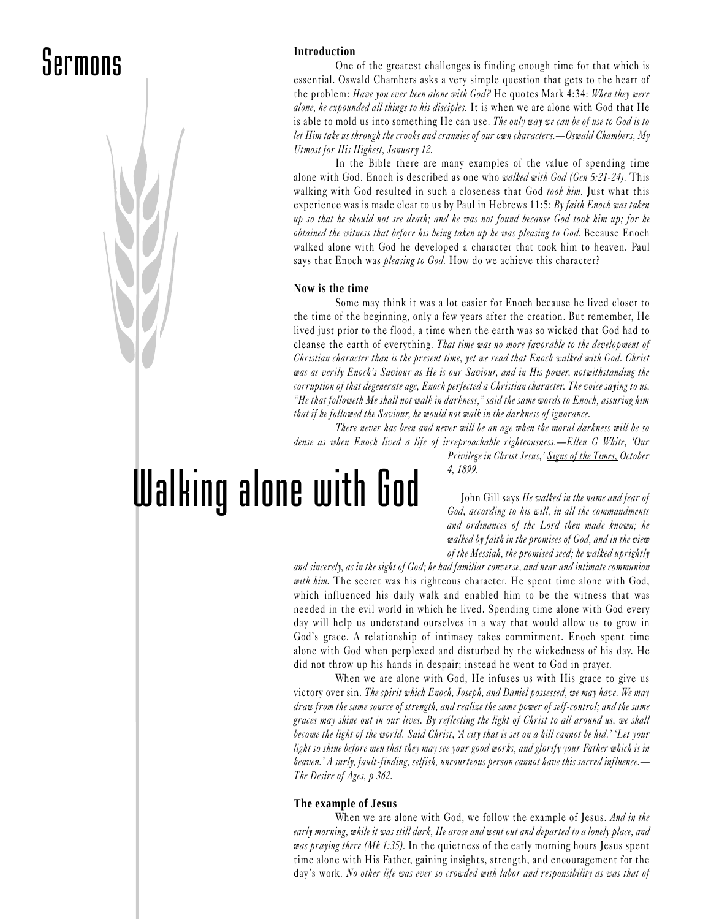

One of the greatest challenges is finding enough time for that which is essential. Oswald Chambers asks a very simple question that gets to the heart of the problem: Have you ever been alone with God? He quotes Mark 4:34: When they were alone, he expounded all things to his disciples. It is when we are alone with God that He is able to mold us into something He can use. The only way we can be of use to God is to let Him take us through the crooks and crannies of our own characters.—Oswald Chambers, My Utmost for His Highest, January 12.

In the Bible there are many examples of the value of spending time alone with God. Enoch is described as one who *walked with God (Gen 5:21-24)*. This walking with God resulted in such a closeness that God took him. Just what this experience was is made clear to us by Paul in Hebrews  $11:5: By faithful Enoch was taken$ up so that he should not see death; and he was not found because God took him up; for he obtained the witness that before his being taken up he was pleasing to God. Because Enoch walked alone with God he developed a character that took him to heaven. Paul says that Enoch was *pleasing to God*. How do we achieve this character?

#### **Now is the time**

Some may think it was a lot easier for Enoch because he lived closer to the time of the beginning, only a few years after the creation. But remember, He lived just prior to the flood, a time when the earth was so wicked that God had to cleanse the earth of everything. That time was no more favorable to the development of Christian character than is the present time, yet we read that Enoch walked with God. Christ was as verily Enoch's Saviour as He is our Saviour, and in His power, notwithstanding the corruption of that degenerate age, Enoch perfected a Christian character. The voice saying to us, "He that followeth Me shall not walk in darkness," said the same words to Enoch, assuring him that if he followed the Saviour, he would not walk in the darkness of ignorance.

There never has been and never will be an age when the moral darkness will be so dense as when Enoch lived a life of irreproachable righteousness.—Ellen G White, 'Our Privilege in Christ Jesus,' Signs of the Times, October

4, 1899.

Walking alone with God

John Gill says He walked in the name and fear of God, according to his will, in all the commandments and ordinances of the Lord then made known; he walked by faith in the promises of God, and in the view of the Messiah, the promised seed; he walked uprightly

and sincerely, as in the sight of God; he had familiar converse, and near and intimate communion with him. The secret was his righteous character. He spent time alone with God, which influenced his daily walk and enabled him to be the witness that was needed in the evil world in which he lived. Spending time alone with God every day will help us understand ourselves in a way that would allow us to grow in God's grace. A relationship of intimacy takes commitment. Enoch spent time alone with God when perplexed and disturbed by the wickedness of his day. He did not throw up his hands in despair; instead he went to God in prayer.

When we are alone with God, He infuses us with His grace to give us victory over sin. The spirit which Enoch, Joseph, and Daniel possessed, we may have. We may draw from the same source of strength, and realize the same power of self-control; and the same graces may shine out in our lives. By reflecting the light of Christ to all around us, we shall become the light of the world. Said Christ, 'A city that is set on a hill cannot be hid.' 'Let your light so shine before men that they may see your good works, and glorify your Father which is in heaven.' A surly, fault-finding, selfish, uncourteous person cannot have this sacred influence.— The Desire of Ages, p 362.

#### **The example of Jesus**

When we are alone with God, we follow the example of Jesus. And in the early morning, while it was still dark, He arose and went out and departed to a lonely place, and was praying there (Mk 1:35). In the quietness of the early morning hours Jesus spent time alone with His Father, gaining insights, strength, and encouragement for the day's work. No other life was ever so crowded with labor and responsibility as was that of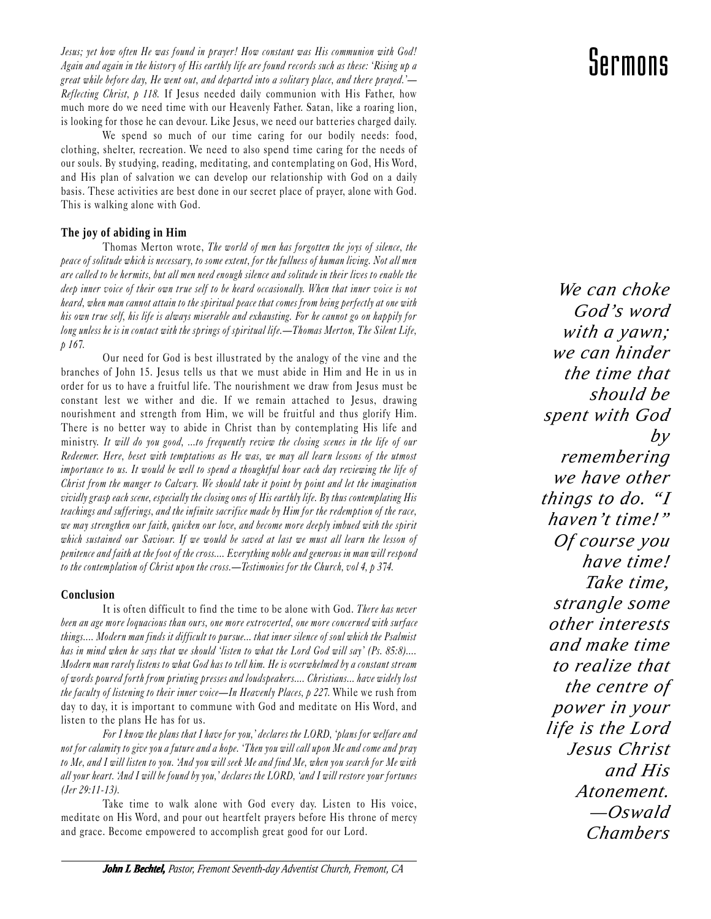Jesus; yet how often He was found in prayer! How constant was His communion with God! Again and again in the history of His earthly life are found records such as these: Rising up a great while before day, He went out, and departed into a solitary place, and there prayed.'— Reflecting Christ, p 118. If Jesus needed daily communion with His Father, how much more do we need time with our Heavenly Father. Satan, like a roaring lion, is looking for those he can devour. Like Jesus, we need our batteries charged daily.

We spend so much of our time caring for our bodily needs: food, clothing, shelter, recreation. We need to also spend time caring for the needs of our souls. By studying, reading, meditating, and contemplating on God, His Word, and His plan of salvation we can develop our relationship with God on a daily basis. These activities are best done in our secret place of prayer, alone with God. This is walking alone with God.

#### **The joy of abiding in Him**

Thomas Merton wrote, The world of men has forgotten the joys of silence, the peace of solitude which is necessary, to some extent, for the fullness of human living. Not all men are called to be hermits, but all men need enough silence and solitude in their lives to enable the deep inner voice of their own true self to be heard occasionally. When that inner voice is not heard, when man cannot attain to the spiritual peace that comes from being perfectly at one with his own true self, his life is always miserable and exhausting. For he cannot go on happily for long unless he is in contact with the springs of spiritual life.—Thomas Merton, The Silent Life, p 167.

Our need for God is best illustrated by the analogy of the vine and the branches of John 15. Jesus tells us that we must abide in Him and He in us in order for us to have a fruitful life. The nourishment we draw from Jesus must be constant lest we wither and die. If we remain attached to Jesus, drawing nourishment and strength from Him, we will be fruitful and thus glorify Him. There is no better way to abide in Christ than by contemplating His life and ministry. It will do you good, ...to frequently review the closing scenes in the life of our Redeemer. Here, beset with temptations as He was, we may all learn lessons of the utmost importance to us. It would be well to spend a thoughtful hour each day reviewing the life of Christ from the manger to Calvary. We should take it point by point and let the imagination vividly grasp each scene, especially the closing ones of His earthly life. By thus contemplating His teachings and sufferings, and the infinite sacrifice made by Him for the redemption of the race, we may strengthen our faith, quicken our love, and become more deeply imbued with the spirit which sustained our Saviour. If we would be saved at last we must all learn the lesson of penitence and faith at the foot of the cross.... Everything noble and generous in man will respond to the contemplation of Christ upon the cross.—Testimonies for the Church, vol 4, p 374.

#### **Conclusion**

It is often difficult to find the time to be alone with God. There has never been an age more loquacious than ours, one more extroverted, one more concerned with surface things.... Modern man finds it difficult to pursue... that inner silence of soul which the Psalmist has in mind when he says that we should 'listen to what the Lord God will say' (Ps. 85:8).... Modern man rarely listens to what God has to tell him. He is overwhelmed by a constant stream of words poured forth from printing presses and loudspeakers.... Christians... have widely lost the faculty of listening to their inner voice—In Heavenly Places,  $p$  227. While we rush from day to day, it is important to commune with God and meditate on His Word, and listen to the plans He has for us.

For I know the plans that I have for you,' declares the LORD, 'plans for welfare and not for calamity to give you a future and a hope. Then you will call upon Me and come and pray to Me, and I will listen to you. And you will seek Me and find Me, when you search for Me with all your heart. And I will be found by you,' declares the LORD, 'and I will restore your fortunes (Jer 29:11-13).

Take time to walk alone with God every day. Listen to His voice, meditate on His Word, and pour out heartfelt prayers before His throne of mercy and grace. Become empowered to accomplish great good for our Lord.

### Sermons

*We can choke God's word with a yawn; we can hinder the time that should be spent with God by remembering we have other things to do. "I haven't time!" Of course you have time! Take time, strangle some other interests and make time to realize that the centre of power in your life is the Lord Jesus Christ and His Atonement. —Oswald Chambers*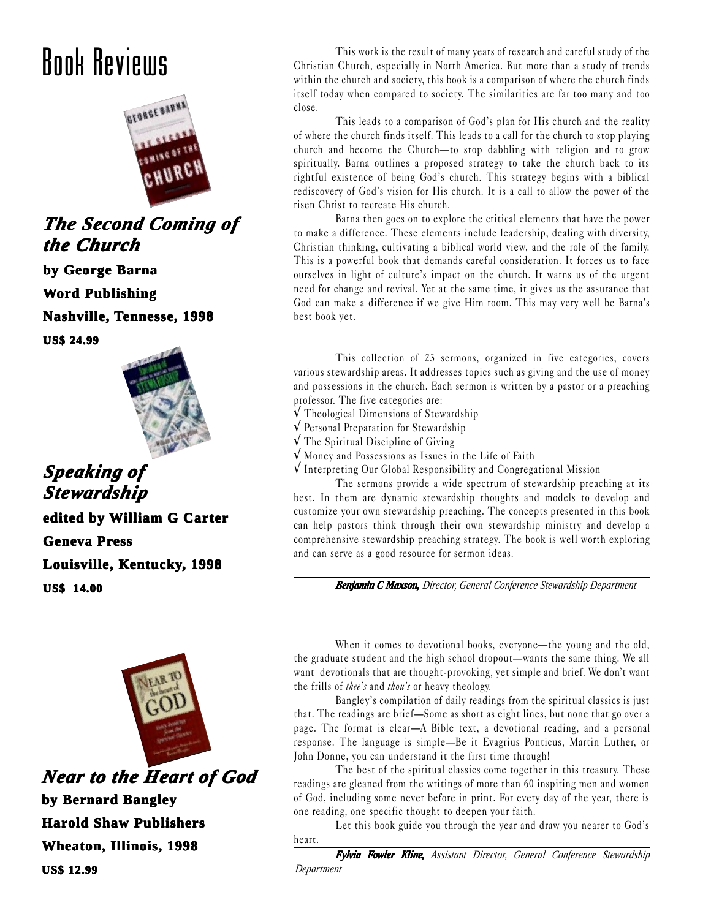### Book Reviews



*The Second Coming of The Second Coming of the Chur Church*

**by George Barna**

**Word Publishing**

**Nashville, Tennesse, 1998**

**US\$ 24.99**



*Speaking of Speaking of Stewardship* **edited by William G Carter Geneva Press Louisville, Kentucky, 1998 US\$ 14.00**



*Near to the Heart of God Near to Heart God* **by Bernard Bangley Harold Shaw Publishers Wheaton, Illinois, 1998 US\$ 12.99**

This work is the result of many years of research and careful study of the Christian Church, especially in North America. But more than a study of trends within the church and society, this book is a comparison of where the church finds itself today when compared to society. The similarities are far too many and too close.

This leads to a comparison of God's plan for His church and the reality of where the church finds itself. This leads to a call for the church to stop playing church and become the Church-to stop dabbling with religion and to grow spiritually. Barna outlines a proposed strategy to take the church back to its rightful existence of being God's church. This strategy begins with a biblical rediscovery of God's vision for His church. It is a call to allow the power of the risen Christ to recreate His church.

Barna then goes on to explore the critical elements that have the power to make a difference. These elements include leadership, dealing with diversity, Christian thinking, cultivating a biblical world view, and the role of the family. This is a powerful book that demands careful consideration. It forces us to face ourselves in light of culture's impact on the church. It warns us of the urgent need for change and revival. Yet at the same time, it gives us the assurance that God can make a difference if we give Him room. This may very well be Barna's best book yet.

This collection of 23 sermons, organized in five categories, covers various stewardship areas. It addresses topics such as giving and the use of money and possessions in the church. Each sermon is written by a pastor or a preaching professor. The five categories are:

- √ Theological Dimensions of Stewardship
- √ Personal Preparation for Stewardship
- √ The Spiritual Discipline of Giving
- √ Money and Possessions as Issues in the Life of Faith
- √ Interpreting Our Global Responsibility and Congregational Mission

The sermons provide a wide spectrum of stewardship preaching at its best. In them are dynamic stewardship thoughts and models to develop and customize your own stewardship preaching. The concepts presented in this book can help pastors think through their own stewardship ministry and develop a comprehensive stewardship preaching strategy. The book is well worth exploring and can serve as a good resource for sermon ideas.

*Benjamin C Maxson, Director, General Conference Stewardship Department*

When it comes to devotional books, everyone—the young and the old, the graduate student and the high school dropout—wants the same thing. We all want devotionals that are thought-provoking, yet simple and brief. We don't want the frills of *thee's* and *thou's* or heavy theology.

Bangley's compilation of daily readings from the spiritual classics is just that. The readings are brief—Some as short as eight lines, but none that go over a page. The format is clear-A Bible text, a devotional reading, and a personal response. The language is simple—Be it Evagrius Ponticus, Martin Luther, or John Donne, you can understand it the first time through!

The best of the spiritual classics come together in this treasury. These readings are gleaned from the writings of more than 60 inspiring men and women of God, including some never before in print. For every day of the year, there is one reading, one specific thought to deepen your faith.

Let this book guide you through the year and draw you nearer to God's heart.

*Fylvia Fowler Kline, Assistant Director, General Conference Stewardship Department*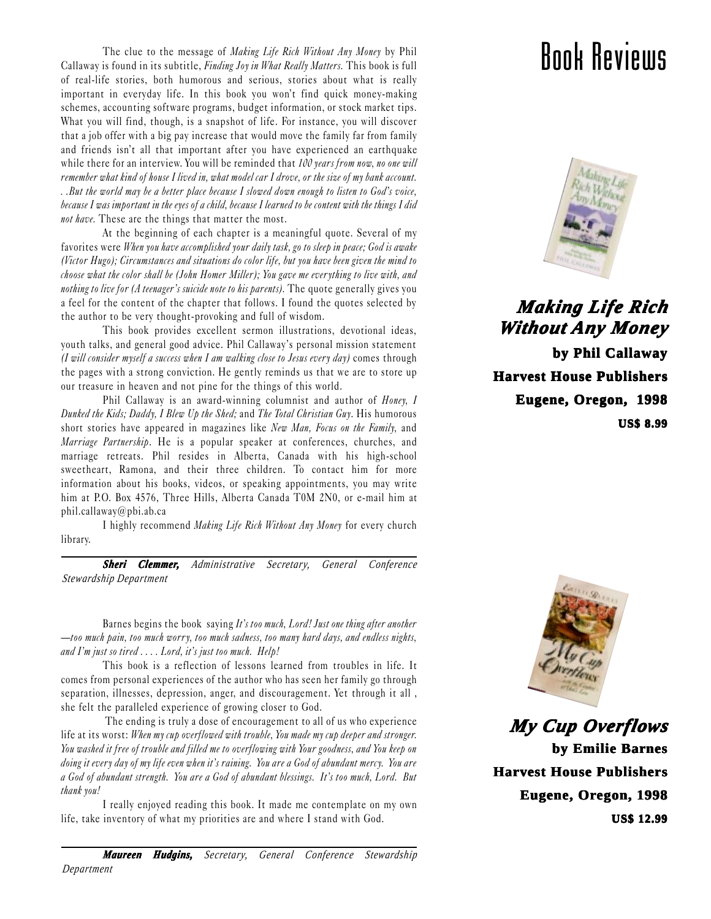The clue to the message of Making Life Rich Without Any Money by Phil Callaway is found in its subtitle, Finding Joy in What Really Matters. This book is full of real-life stories, both humorous and serious, stories about what is really important in everyday life. In this book you won't find quick money-making schemes, accounting software programs, budget information, or stock market tips. What you will find, though, is a snapshot of life. For instance, you will discover that a job offer with a big pay increase that would move the family far from family and friends isn't all that important after you have experienced an earthquake while there for an interview. You will be reminded that  $100$  years from now, no one will remember what kind of house I lived in, what model car I drove, or the size of my bank account. . .But the world may be a better place because I slowed down enough to listen to God's voice, because I was important in the eyes of a child, because I learned to be content with the things I did not have. These are the things that matter the most.

At the beginning of each chapter is a meaningful quote. Several of my favorites were When you have accomplished your daily task, go to sleep in peace; God is awake (Victor Hugo); Circumstances and situations do color life, but you have been given the mind to choose what the color shall be (John Homer Miller); You gave me ever ything to live with, and nothing to live for (A teenager's suicide note to his parents). The quote generally gives you a feel for the content of the chapter that follows. I found the quotes selected by the author to be very thought-provoking and full of wisdom.

This book provides excellent sermon illustrations, devotional ideas, youth talks, and general good advice. Phil Callaway's personal mission statement (I will consider myself a success when I am walking close to Jesus every day) comes through the pages with a strong conviction. He gently reminds us that we are to store up our treasure in heaven and not pine for the things of this world.

Phil Callaway is an award-winning columnist and author of *Honey*, I Dunked the Kids; Daddy, I Blew Up the Shed; and The Total Christian Guy. His humorous short stories have appeared in magazines like New Man, Focus on the Family, and Marriage Partnership. He is a popular speaker at conferences, churches, and marriage retreats. Phil resides in Alberta, Canada with his high-school sweetheart, Ramona, and their three children. To contact him for more information about his books, videos, or speaking appointments, you may write him at P.O. Box 4576, Three Hills, Alberta Canada T0M 2N0, or e-mail him at phil.callaway@pbi.ab.ca

I highly recommend Making Life Rich Without Any Money for every church library.

*Sheri Clemmer, Administrative Secretary, General Conference Stewardship Department*

Barnes begins the book saying It's too much, Lord! Just one thing after another too much pain, too much worry, too much sadness, too many hard days, and endless nights, and  $\Gamma$ m just so tired  $\ldots$ . Lord, it's just too much. Help!

This book is a reflection of lessons learned from troubles in life. It comes from personal experiences of the author who has seen her family go through separation, illnesses, depression, anger, and discouragement. Yet through it all , she felt the paralleled experience of growing closer to God.

 The ending is truly a dose of encouragement to all of us who experience life at its worst: When my cup overflowed with trouble, You made my cup deeper and stronger. You washed it free of trouble and filled me to overflowing with Your goodness, and You keep on doing it every day of my life even when it's raining. You are a God of abundant mercy. You are a God of abundant strength. You are a God of abundant blessings. It's too much, Lord. But thank you!

I really enjoyed reading this book. It made me contemplate on my own life, take inventory of what my priorities are and where I stand with God.

### Book Reviews



*Making Lif Making Life Rich Without ithout Any Money*  **by Phil Callaway Harvest House Publishers Eugene, Oregon, 1998 US\$ 8.99**



*My Cup Ov My Cup Overflows*  **by Emilie Barnes Harvest House Publishers Eugene, Oregon, 1998 US\$ 12.99**